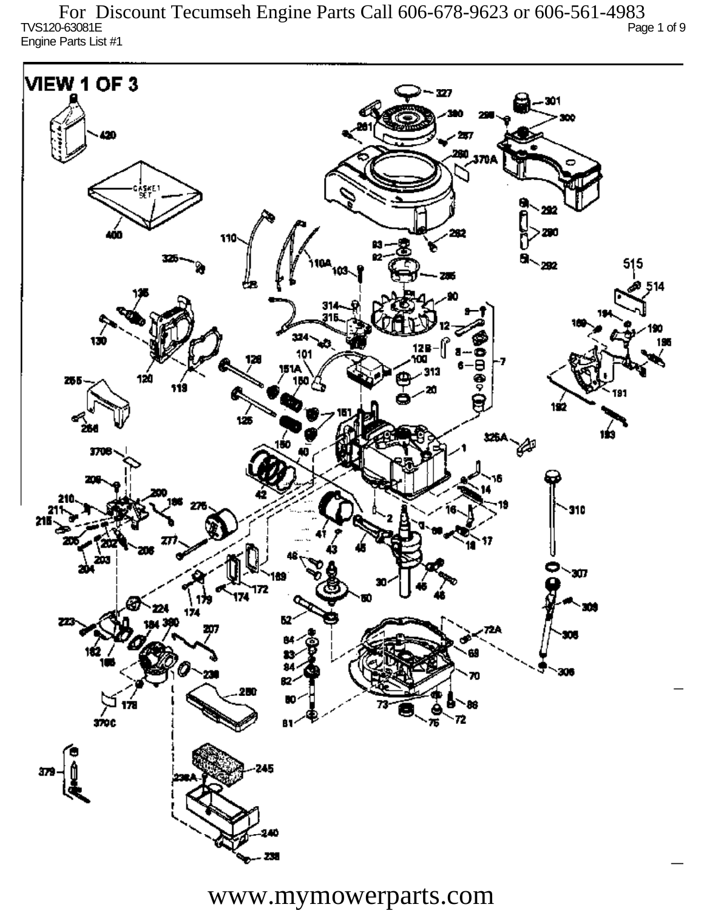TVS120-63081E Page 1 of 9 Engine Parts List #1 For Discount Tecumseh Engine Parts Call 606-678-9623 or 606-561-4983

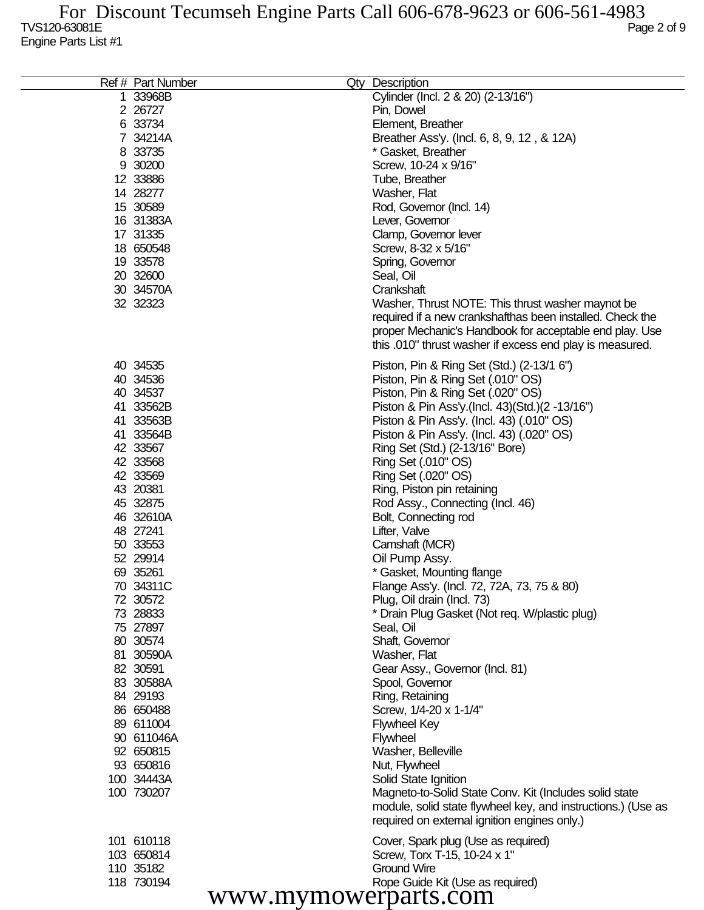| Ref # Part Number | Qty Description                                              |
|-------------------|--------------------------------------------------------------|
| 1 33968B          | Cylinder (Incl. 2 & 20) (2-13/16")                           |
| 2 26727           | Pin, Dowel                                                   |
| 6 33734           | Element, Breather                                            |
| 7 34214A          | Breather Ass'y. (Incl. 6, 8, 9, 12, & 12A)                   |
| 8 33735           | * Gasket, Breather                                           |
| 9 30200           | Screw, 10-24 x 9/16"                                         |
| 12 33886          | Tube, Breather                                               |
| 14 28277          | Washer, Flat                                                 |
| 15 30589          | Rod, Governor (Incl. 14)                                     |
| 16 31383A         | Lever, Governor                                              |
| 17 31335          | Clamp, Governor lever                                        |
| 18 650548         | Screw, 8-32 x 5/16"                                          |
| 19 33578          | Spring, Governor                                             |
| 20 32600          | Seal, Oil                                                    |
| 30 34570A         | Crankshaft                                                   |
| 32 32323          | Washer, Thrust NOTE: This thrust washer maynot be            |
|                   | required if a new crankshafthas been installed. Check the    |
|                   | proper Mechanic's Handbook for acceptable end play. Use      |
|                   | this .010" thrust washer if excess end play is measured.     |
|                   |                                                              |
| 40 34535          | Piston, Pin & Ring Set (Std.) (2-13/1 6")                    |
| 40 34536          | Piston, Pin & Ring Set (.010" OS)                            |
| 40 34537          | Piston, Pin & Ring Set (.020" OS)                            |
| 41 33562B         | Piston & Pin Ass'y (Incl. 43) (Std.) (2 -13/16")             |
| 41 33563B         | Piston & Pin Ass'y. (Incl. 43) (.010" OS)                    |
| 41 33564B         | Piston & Pin Ass'y. (Incl. 43) (.020" OS)                    |
| 42 33567          | Ring Set (Std.) (2-13/16" Bore)                              |
| 42 33568          | Ring Set (.010" OS)                                          |
| 42 33569          | Ring Set (.020" OS)                                          |
| 43 20381          | Ring, Piston pin retaining                                   |
| 45 32875          | Rod Assy., Connecting (Incl. 46)                             |
| 46 32610A         | Bolt, Connecting rod                                         |
| 48 27241          | Lifter, Valve                                                |
| 50 33553          | Camshaft (MCR)                                               |
| 52 29914          | Oil Pump Assy.                                               |
| 69 35261          | * Gasket, Mounting flange                                    |
| 70 34311C         | Flange Ass'y. (Incl. 72, 72A, 73, 75 & 80)                   |
| 72 30572          | Plug, Oil drain (Incl. 73)                                   |
| 73 28833          | * Drain Plug Gasket (Not reg. W/plastic plug)                |
| 75 27897          | Seal, Oil                                                    |
| 80 30 574         | Shaft, Governor                                              |
| 81 30590A         | Washer, Flat                                                 |
| 82 30591          | Gear Assy., Governor (Incl. 81)                              |
| 83 30588A         | Spool, Governor                                              |
| 84 29193          | Ring, Retaining                                              |
| 86 650488         | Screw, 1/4-20 x 1-1/4"                                       |
| 89 611004         | <b>Flywheel Key</b>                                          |
| 90 611046A        | Flywheel                                                     |
| 92 650815         | Washer, Belleville                                           |
| 93 650816         | Nut, Flywheel                                                |
| 100 34443A        | Solid State Ignition                                         |
| 100 730207        |                                                              |
|                   | Magneto-to-Solid State Conv. Kit (Includes solid state       |
|                   | module, solid state flywheel key, and instructions.) (Use as |
|                   | required on external ignition engines only.)                 |
| 101 610118        | Cover, Spark plug (Use as required)                          |
| 103 650814        | Screw, Torx T-15, 10-24 x 1"                                 |
| 110 35182         | Ground Wire                                                  |
| 118 730194        | Rope Guide Kit (Use as required)                             |
|                   | www.mymowerparts.com                                         |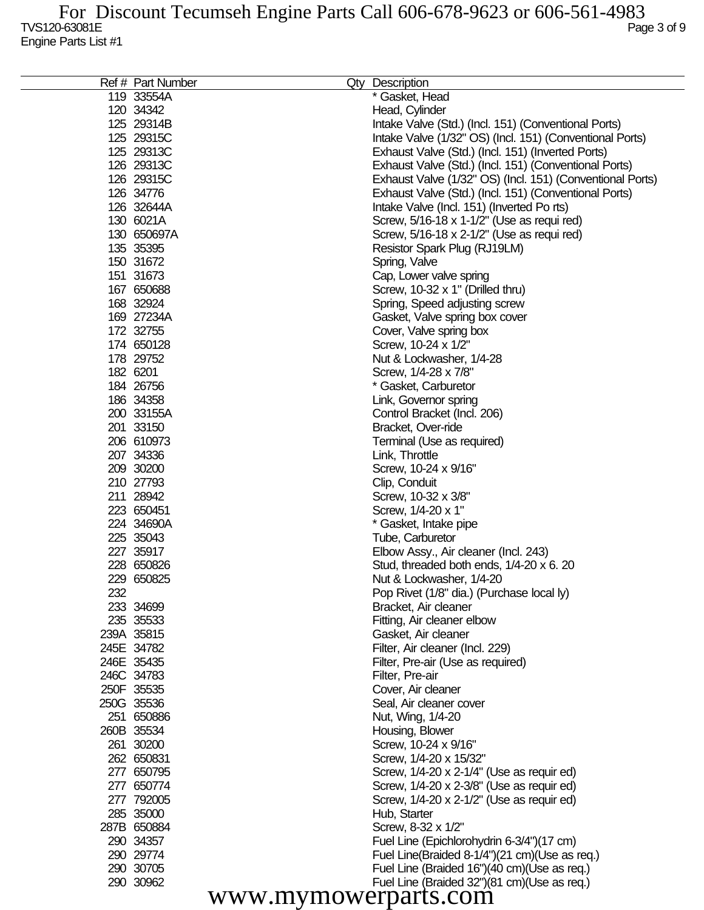| Ref # Part Number    |  | Qty Description                                           |  |  |
|----------------------|--|-----------------------------------------------------------|--|--|
| 119 33554A           |  | * Gasket, Head                                            |  |  |
| 120 34342            |  | Head, Cylinder                                            |  |  |
| 125 29314B           |  | Intake Valve (Std.) (Incl. 151) (Conventional Ports)      |  |  |
| 125 29315C           |  | Intake Valve (1/32" OS) (Incl. 151) (Conventional Ports)  |  |  |
| 125 29313C           |  | Exhaust Valve (Std.) (Incl. 151) (Inverted Ports)         |  |  |
| 126 29313C           |  | Exhaust Valve (Std.) (Incl. 151) (Conventional Ports)     |  |  |
| 126 29315C           |  | Exhaust Valve (1/32" OS) (Incl. 151) (Conventional Ports) |  |  |
| 126 34776            |  | Exhaust Valve (Std.) (Incl. 151) (Conventional Ports)     |  |  |
| 126 32644A           |  | Intake Valve (Incl. 151) (Inverted Po rts)                |  |  |
| 130 6021A            |  | Screw, 5/16-18 x 1-1/2" (Use as requi red)                |  |  |
| 130 650697A          |  | Screw, 5/16-18 x 2-1/2" (Use as requi red)                |  |  |
| 135 35395            |  | Resistor Spark Plug (RJ19LM)                              |  |  |
| 150 31672            |  | Spring, Valve                                             |  |  |
| 151 31673            |  | Cap, Lower valve spring                                   |  |  |
| 167 650688           |  | Screw, 10-32 x 1" (Drilled thru)                          |  |  |
| 168 32924            |  | Spring, Speed adjusting screw                             |  |  |
| 169 27234A           |  | Gasket, Valve spring box cover                            |  |  |
| 172 32755            |  | Cover, Valve spring box                                   |  |  |
| 174 650128           |  | Screw, 10-24 x 1/2"                                       |  |  |
| 178 29752            |  | Nut & Lockwasher, 1/4-28                                  |  |  |
| 182 6201             |  | Screw, 1/4-28 x 7/8"                                      |  |  |
| 184 26756            |  | * Gasket, Carburetor                                      |  |  |
| 186 34358            |  | Link, Governor spring                                     |  |  |
| 200 33155A           |  | Control Bracket (Incl. 206)                               |  |  |
| 201 33150            |  | Bracket, Over-ride                                        |  |  |
| 206 610973           |  | Terminal (Use as required)                                |  |  |
| 207 34336            |  | Link, Throttle                                            |  |  |
| 209 30200            |  | Screw, 10-24 x 9/16"                                      |  |  |
| 210 27793            |  | Clip, Conduit                                             |  |  |
| 211 28942            |  | Screw, 10-32 x 3/8"                                       |  |  |
| 223 650451           |  | Screw, 1/4-20 x 1"                                        |  |  |
| 224 34690A           |  | * Gasket, Intake pipe                                     |  |  |
| 225 35043            |  | Tube, Carburetor                                          |  |  |
| 227 35917            |  | Elbow Assy., Air cleaner (Incl. 243)                      |  |  |
| 228 650826           |  | Stud, threaded both ends, 1/4-20 x 6. 20                  |  |  |
| 229 650825           |  | Nut & Lockwasher, 1/4-20                                  |  |  |
| 232                  |  | Pop Rivet (1/8" dia.) (Purchase local ly)                 |  |  |
| 233 34699            |  | Bracket, Air cleaner                                      |  |  |
| 235 35533            |  | Fitting, Air cleaner elbow                                |  |  |
| 239A 35815           |  | Gasket, Air cleaner                                       |  |  |
| 245E 34782           |  | Filter, Air cleaner (Incl. 229)                           |  |  |
| 246E 35435           |  | Filter, Pre-air (Use as required)                         |  |  |
| 246C 34783           |  | Filter, Pre-air                                           |  |  |
| 250F 35535           |  | Cover, Air cleaner                                        |  |  |
| 250G 35536           |  | Seal, Air cleaner cover                                   |  |  |
| 251 650886           |  | Nut, Wing, 1/4-20                                         |  |  |
| 260B 35534           |  | Housing, Blower                                           |  |  |
| 261 30200            |  | Screw, 10-24 x 9/16"                                      |  |  |
| 262 650831           |  | Screw, 1/4-20 x 15/32"                                    |  |  |
| 277 650795           |  | Screw, 1/4-20 x 2-1/4" (Use as requir ed)                 |  |  |
| 277 650774           |  | Screw, 1/4-20 x 2-3/8" (Use as requir ed)                 |  |  |
| 277 792005           |  | Screw, 1/4-20 x 2-1/2" (Use as requir ed)                 |  |  |
| 285 35000            |  | Hub, Starter                                              |  |  |
| 287B 650884          |  | Screw, 8-32 x 1/2"                                        |  |  |
| 290 34357            |  | Fuel Line (Epichlorohydrin 6-3/4")(17 cm)                 |  |  |
| 290 29774            |  | Fuel Line(Braided 8-1/4")(21 cm)(Use as req.)             |  |  |
| 290 30705            |  | Fuel Line (Braided 16")(40 cm)(Use as req.)               |  |  |
| 290 30962            |  | Fuel Line (Braided 32")(81 cm)(Use as req.)               |  |  |
|                      |  |                                                           |  |  |
| www.mymowerparts.com |  |                                                           |  |  |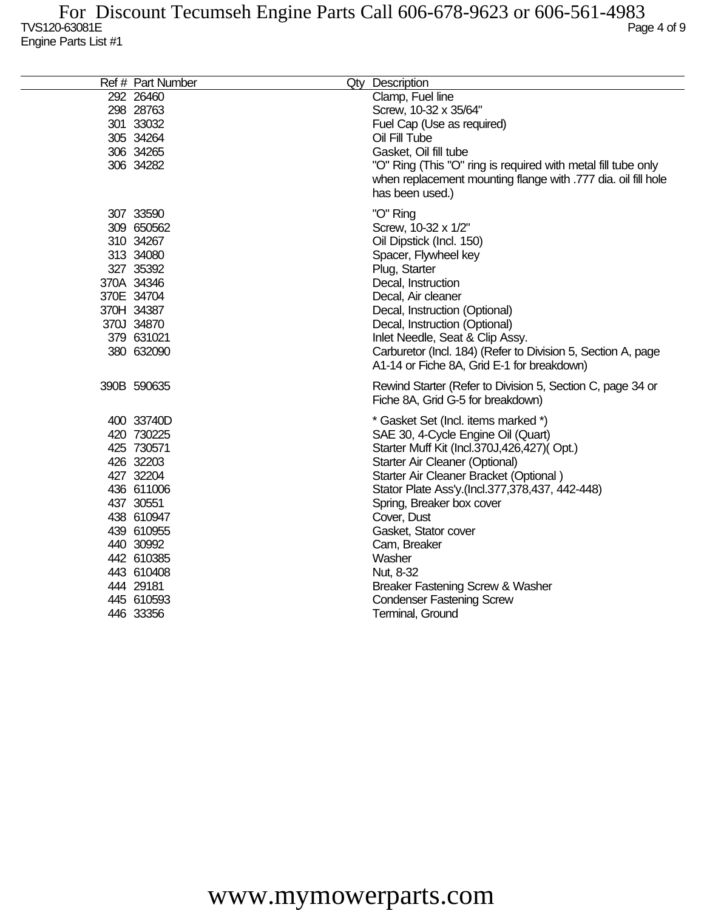| Ref # Part Number | Qty Description                                               |
|-------------------|---------------------------------------------------------------|
| 292 26460         | Clamp, Fuel line                                              |
| 298 28763         | Screw, 10-32 x 35/64"                                         |
| 301 33032         | Fuel Cap (Use as required)                                    |
| 305 34264         | Oil Fill Tube                                                 |
| 306 34265         | Gasket, Oil fill tube                                         |
| 306 34282         | "O" Ring (This "O" ring is required with metal fill tube only |
|                   | when replacement mounting flange with .777 dia. oil fill hole |
|                   | has been used.)                                               |
| 307 33590         | "O" Ring                                                      |
| 309 650562        | Screw, 10-32 x 1/2"                                           |
| 310 34267         | Oil Dipstick (Incl. 150)                                      |
| 313 34080         | Spacer, Flywheel key                                          |
| 327 35392         | Plug, Starter                                                 |
| 370A 34346        | Decal, Instruction                                            |
| 370E 34704        | Decal, Air cleaner                                            |
| 370H 34387        | Decal, Instruction (Optional)                                 |
| 370J 34870        | Decal, Instruction (Optional)                                 |
| 379 631021        | Inlet Needle, Seat & Clip Assy.                               |
| 380 632090        | Carburetor (Incl. 184) (Refer to Division 5, Section A, page  |
|                   | A1-14 or Fiche 8A, Grid E-1 for breakdown)                    |
| 390B 590635       | Rewind Starter (Refer to Division 5, Section C, page 34 or    |
|                   | Fiche 8A, Grid G-5 for breakdown)                             |
|                   |                                                               |
| 400 33740D        | * Gasket Set (Incl. items marked *)                           |
| 420 730225        | SAE 30, 4-Cycle Engine Oil (Quart)                            |
| 425 730571        | Starter Muff Kit (Incl.370J,426,427)(Opt.)                    |
| 426 32203         | Starter Air Cleaner (Optional)                                |
| 427 32204         | Starter Air Cleaner Bracket (Optional)                        |
| 436 611006        | Stator Plate Ass'y.(Incl.377,378,437, 442-448)                |
| 437 30551         | Spring, Breaker box cover                                     |
| 438 610947        | Cover, Dust                                                   |
| 439 610955        | Gasket, Stator cover                                          |
| 440 30992         | Cam, Breaker                                                  |
| 442 610385        | Washer                                                        |
| 443 610408        | Nut, 8-32                                                     |
| 444 29181         | Breaker Fastening Screw & Washer                              |
| 445 610593        | <b>Condenser Fastening Screw</b>                              |
| 446 33356         | Terminal, Ground                                              |
|                   |                                                               |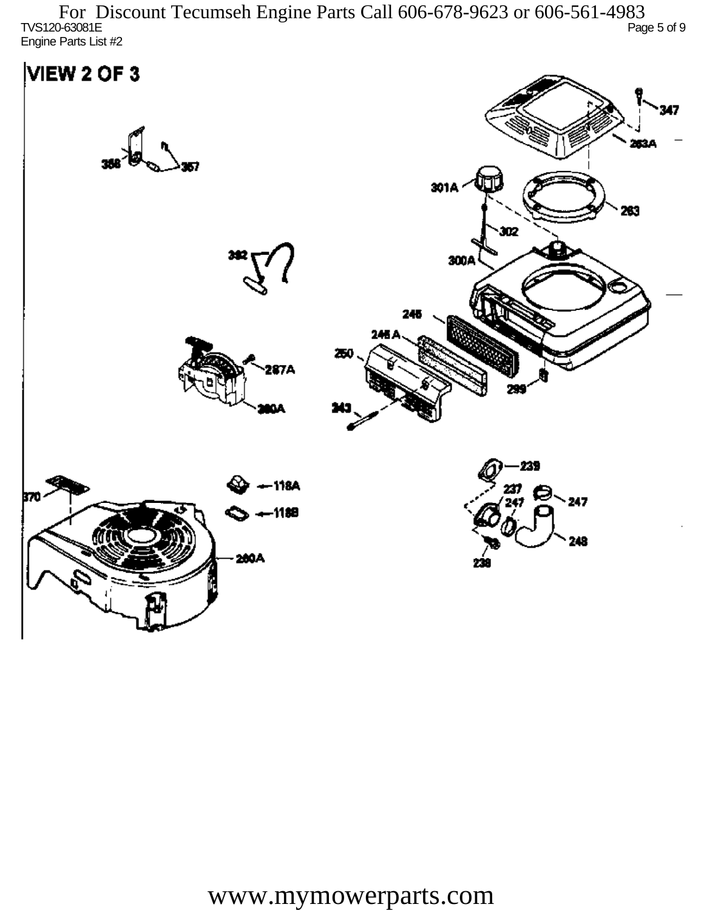TVS120-63081E Page 5 of 9 Engine Parts List #2 For Discount Tecumseh Engine Parts Call 606-678-9623 or 606-561-4983

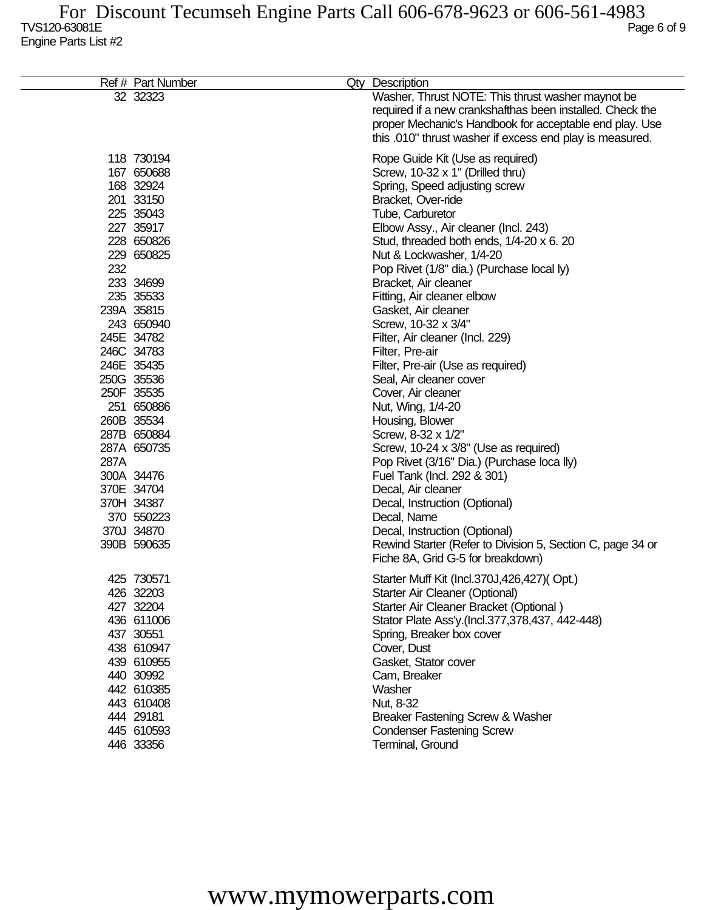|      | Ref # Part Number | Qty Description                                            |
|------|-------------------|------------------------------------------------------------|
|      | 32 32323          | Washer, Thrust NOTE: This thrust washer maynot be          |
|      |                   | required if a new crankshafthas been installed. Check the  |
|      |                   | proper Mechanic's Handbook for acceptable end play. Use    |
|      |                   | this .010" thrust washer if excess end play is measured.   |
|      | 118 730194        | Rope Guide Kit (Use as required)                           |
|      | 167 650688        | Screw, 10-32 x 1" (Drilled thru)                           |
|      | 168 32924         | Spring, Speed adjusting screw                              |
|      | 201 33150         | Bracket, Over-ride                                         |
|      | 225 35043         | Tube, Carburetor                                           |
|      | 227 35917         | Elbow Assy., Air cleaner (Incl. 243)                       |
|      | 228 650826        | Stud, threaded both ends, 1/4-20 x 6. 20                   |
|      | 229 650825        | Nut & Lockwasher, 1/4-20                                   |
| 232  |                   | Pop Rivet (1/8" dia.) (Purchase local ly)                  |
|      | 233 34699         | Bracket, Air cleaner                                       |
|      | 235 35533         | Fitting, Air cleaner elbow                                 |
|      | 239A 35815        | Gasket, Air cleaner                                        |
|      | 243 650940        | Screw, 10-32 x 3/4"                                        |
|      | 245E 34782        | Filter, Air cleaner (Incl. 229)                            |
|      | 246C 34783        | Filter, Pre-air                                            |
|      | 246E 35435        | Filter, Pre-air (Use as required)                          |
|      | 250G 35536        | Seal, Air cleaner cover                                    |
|      | 250F 35535        | Cover, Air cleaner                                         |
|      | 251 650886        | Nut, Wing, 1/4-20                                          |
|      | 260B 35534        | Housing, Blower                                            |
|      | 287B 650884       | Screw, 8-32 x 1/2"                                         |
|      | 287A 650735       | Screw, 10-24 x 3/8" (Use as required)                      |
| 287A |                   | Pop Rivet (3/16" Dia.) (Purchase loca lly)                 |
|      | 300A 34476        | Fuel Tank (Incl. 292 & 301)                                |
|      | 370E 34704        | Decal, Air cleaner                                         |
|      | 370H 34387        | Decal, Instruction (Optional)                              |
|      | 370 550223        | Decal, Name                                                |
|      | 370J 34870        | Decal, Instruction (Optional)                              |
|      | 390B 590635       | Rewind Starter (Refer to Division 5, Section C, page 34 or |
|      |                   | Fiche 8A, Grid G-5 for breakdown)                          |
|      | 425 730571        | Starter Muff Kit (Incl.370J,426,427)(Opt.)                 |
|      | 426 32203         | Starter Air Cleaner (Optional)                             |
|      | 427 32204         | Starter Air Cleaner Bracket (Optional)                     |
|      | 436 611006        | Stator Plate Ass'y.(Incl.377,378,437, 442-448)             |
|      | 437 30551         | Spring, Breaker box cover                                  |
|      | 438 610947        | Cover, Dust                                                |
|      | 439 610955        | Gasket, Stator cover                                       |
|      | 440 30992         | Cam, Breaker                                               |
|      | 442 610385        | Washer                                                     |
|      | 443 610408        | Nut, 8-32                                                  |
|      | 444 29181         | Breaker Fastening Screw & Washer                           |
|      | 445 610593        | <b>Condenser Fastening Screw</b>                           |
|      | 446 33356         | Terminal, Ground                                           |
|      |                   |                                                            |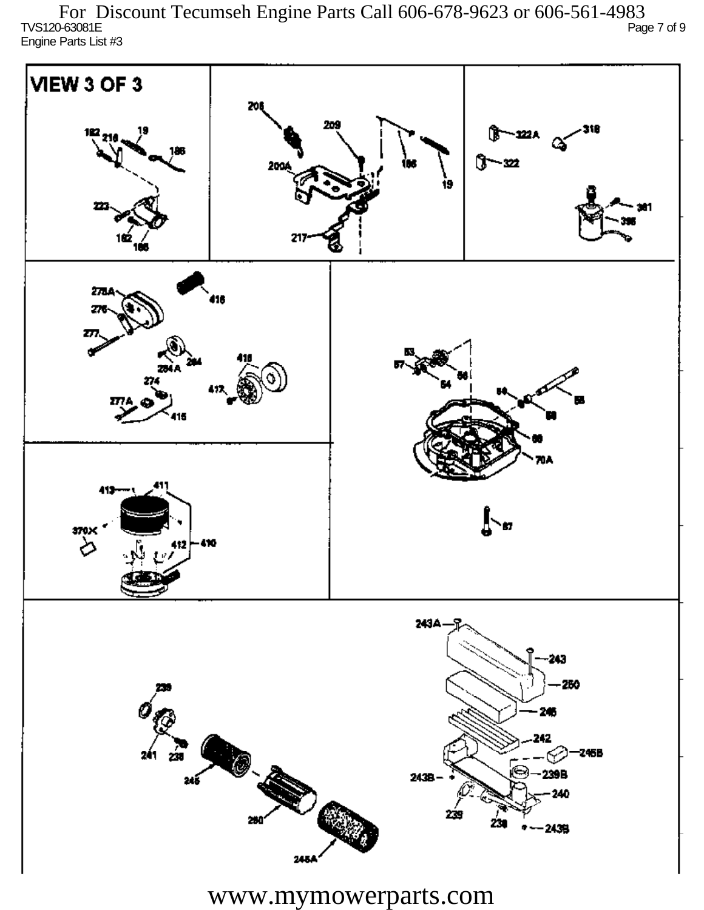TVS120-63081E Page 7 of 9 Engine Parts List #3 For Discount Tecumseh Engine Parts Call 606-678-9623 or 606-561-4983

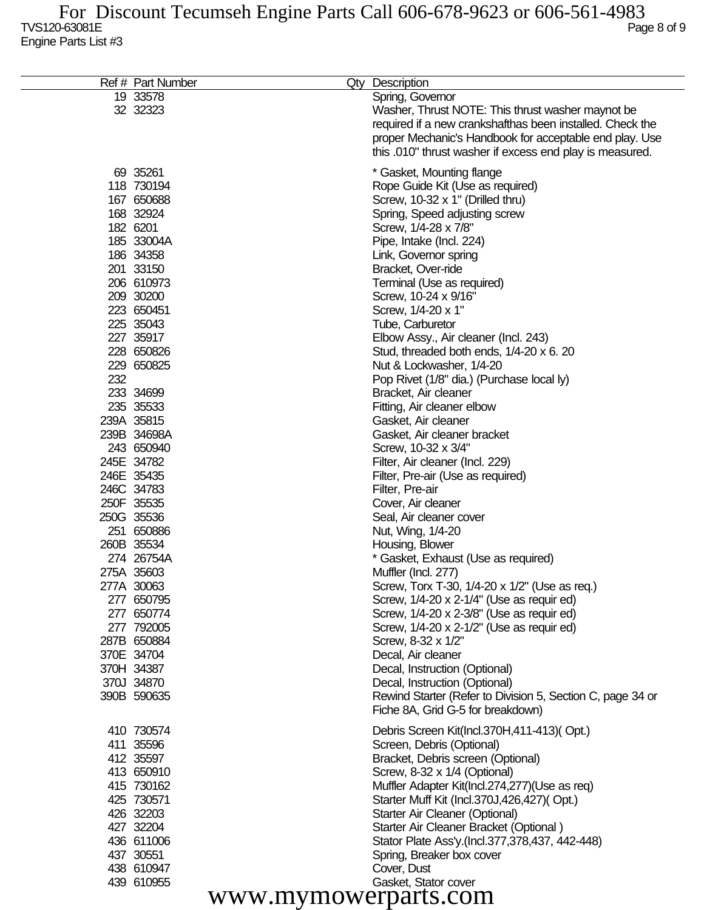| Ref # Part Number        | Qty<br>Description                                                                              |
|--------------------------|-------------------------------------------------------------------------------------------------|
| 19 33578<br>32 32323     | Spring, Governor<br>Washer, Thrust NOTE: This thrust washer maynot be                           |
|                          | required if a new crankshafthas been installed. Check the                                       |
|                          | proper Mechanic's Handbook for acceptable end play. Use                                         |
|                          | this .010" thrust washer if excess end play is measured.                                        |
| 69 35261                 | * Gasket, Mounting flange                                                                       |
| 118 730194               | Rope Guide Kit (Use as required)                                                                |
| 167 650688               | Screw, 10-32 x 1" (Drilled thru)                                                                |
| 168 32924<br>182 6201    | Spring, Speed adjusting screw                                                                   |
| 185 33004A               | Screw, 1/4-28 x 7/8"<br>Pipe, Intake (Incl. 224)                                                |
| 186 34358                | Link, Governor spring                                                                           |
| 201 33150                | Bracket, Over-ride                                                                              |
| 206 610973               | Terminal (Use as required)                                                                      |
| 209 30200                | Screw, 10-24 x 9/16"                                                                            |
| 223 650451               | Screw, 1/4-20 x 1"                                                                              |
| 225 35043                | Tube, Carburetor                                                                                |
| 227 35917                | Elbow Assy., Air cleaner (Incl. 243)                                                            |
| 228 650826               | Stud, threaded both ends, 1/4-20 x 6. 20                                                        |
| 229 650825               | Nut & Lockwasher, 1/4-20                                                                        |
| 232                      | Pop Rivet (1/8" dia.) (Purchase local ly)                                                       |
| 233 34699<br>235 35533   | Bracket, Air cleaner                                                                            |
| 239A 35815               | Fitting, Air cleaner elbow<br>Gasket, Air cleaner                                               |
| 239B 34698A              | Gasket, Air cleaner bracket                                                                     |
| 243 650940               | Screw, 10-32 x 3/4"                                                                             |
| 245E 34782               | Filter, Air cleaner (Incl. 229)                                                                 |
| 246E 35435               | Filter, Pre-air (Use as required)                                                               |
| 246C 34783               | Filter, Pre-air                                                                                 |
| 250F 35535               | Cover, Air cleaner                                                                              |
| 250G 35536               | Seal, Air cleaner cover                                                                         |
| 251 650886               | Nut, Wing, 1/4-20                                                                               |
| 260B 35534               | Housing, Blower                                                                                 |
| 274 26754A<br>275A 35603 | * Gasket, Exhaust (Use as required)<br>Muffler (Incl. 277)                                      |
| 277A 30063               | Screw, Torx T-30, 1/4-20 x 1/2" (Use as req.)                                                   |
| 277 650795               | Screw, 1/4-20 x 2-1/4" (Use as requir ed)                                                       |
| 277 650774               | Screw, 1/4-20 x 2-3/8" (Use as requir ed)                                                       |
| 277 792005               | Screw, 1/4-20 x 2-1/2" (Use as requir ed)                                                       |
| 287B 650884              | Screw, 8-32 x 1/2"                                                                              |
| 370E 34704               | Decal, Air cleaner                                                                              |
| 370H 34387               | Decal, Instruction (Optional)                                                                   |
| 370J 34870               | Decal, Instruction (Optional)                                                                   |
| 390B 590635              | Rewind Starter (Refer to Division 5, Section C, page 34 or<br>Fiche 8A, Grid G-5 for breakdown) |
| 410 730574               | Debris Screen Kit(Incl.370H,411-413)(Opt.)                                                      |
| 411 35596                | Screen, Debris (Optional)                                                                       |
| 412 35597                | Bracket, Debris screen (Optional)                                                               |
| 413 650910               | Screw, 8-32 x 1/4 (Optional)                                                                    |
| 415 730162               | Muffler Adapter Kit(Incl.274,277)(Use as req)                                                   |
| 425 730571               | Starter Muff Kit (Incl.370J,426,427)(Opt.)                                                      |
| 426 32203                | Starter Air Cleaner (Optional)                                                                  |
| 427 32204                | Starter Air Cleaner Bracket (Optional)                                                          |
| 436 611006<br>437 30551  | Stator Plate Ass'y.(Incl.377,378,437, 442-448)<br>Spring, Breaker box cover                     |
| 438 610947               | Cover, Dust                                                                                     |
| 439 610955               | Gasket, Stator cover                                                                            |
|                          | www.mymowerparts.com                                                                            |